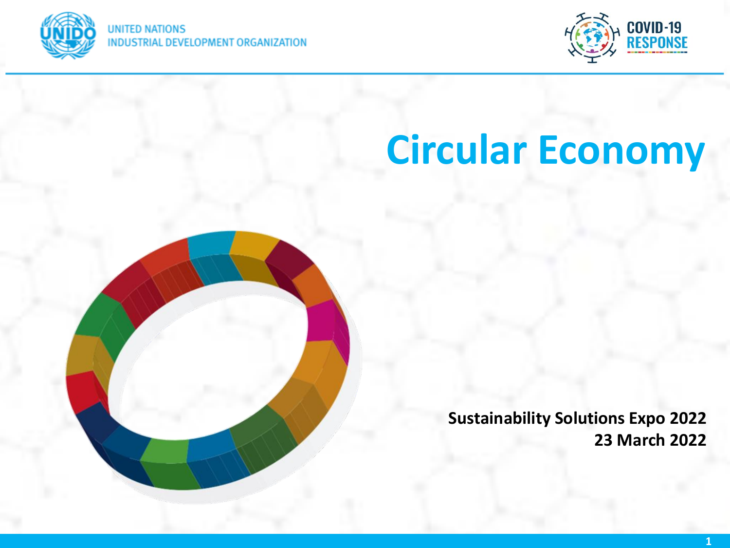



# **Circular Economy**



**Sustainability Solutions Expo 2022 23 March 2022**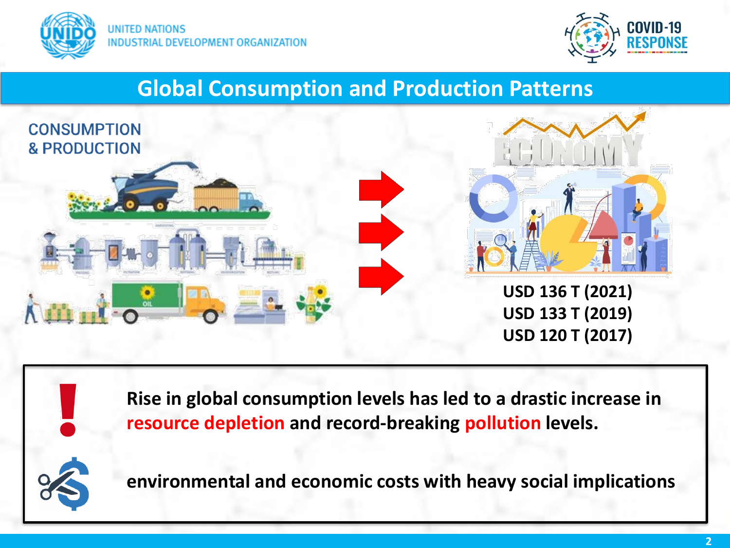



#### **Global Consumption and Production Patterns**



**Rise in global consumption levels has led to a drastic increase in resource depletion and record-breaking pollution levels.**



**environmental and economic costs with heavy social implications**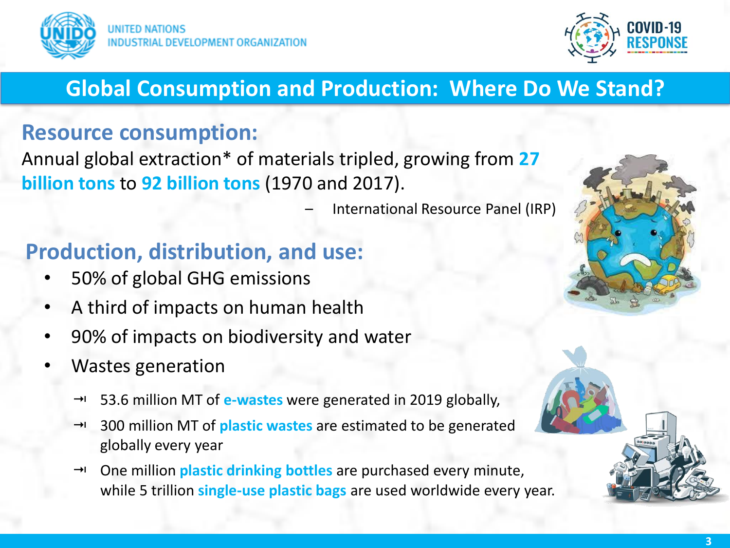



## **Global Consumption and Production: Where Do We Stand?**

#### **Resource consumption:**

Annual global extraction\* of materials tripled, growing from **27 billion tons** to **92 billion tons** (1970 and 2017).

– International Resource Panel (IRP)

#### **Production, distribution, and use:**

- 50% of global GHG emissions
- A third of impacts on human health
- 90% of impacts on biodiversity and water
- Wastes generation
	- → 53.6 million MT of **e-wastes** were generated in 2019 globally,
	- → 300 million MT of **plastic wastes** are estimated to be generated globally every year
	- → One million **plastic drinking bottles** are purchased every minute, while 5 trillion **single-use plastic bags** are used worldwide every year.

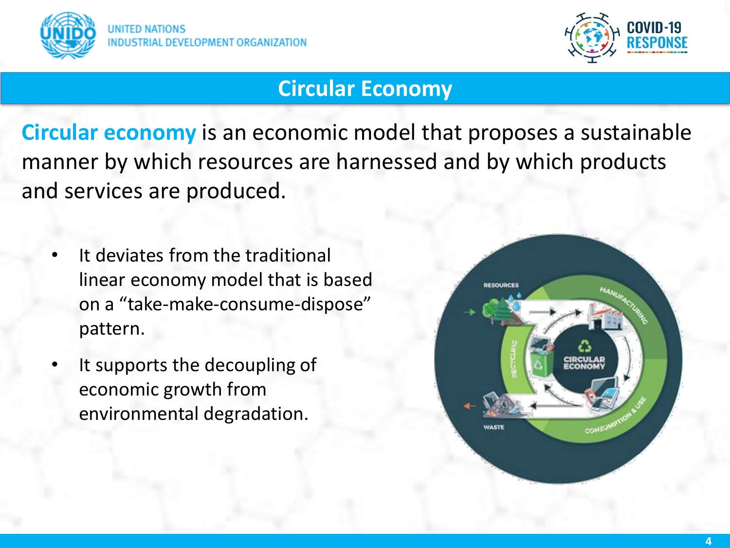



#### **Circular Economy**

**Circular economy** is an economic model that proposes a sustainable manner by which resources are harnessed and by which products and services are produced.

- It deviates from the traditional linear economy model that is based on a "take-make-consume-dispose" pattern.
- It supports the decoupling of economic growth from environmental degradation.

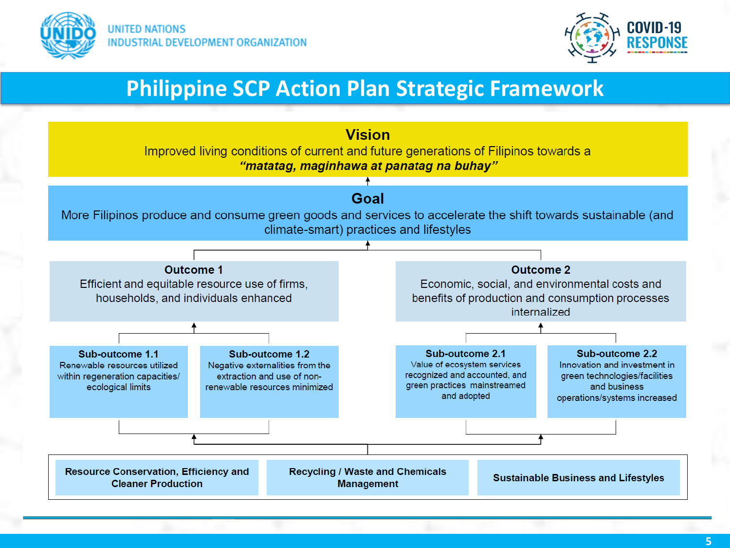



#### **Philippine SCP Action Plan Strategic Framework**

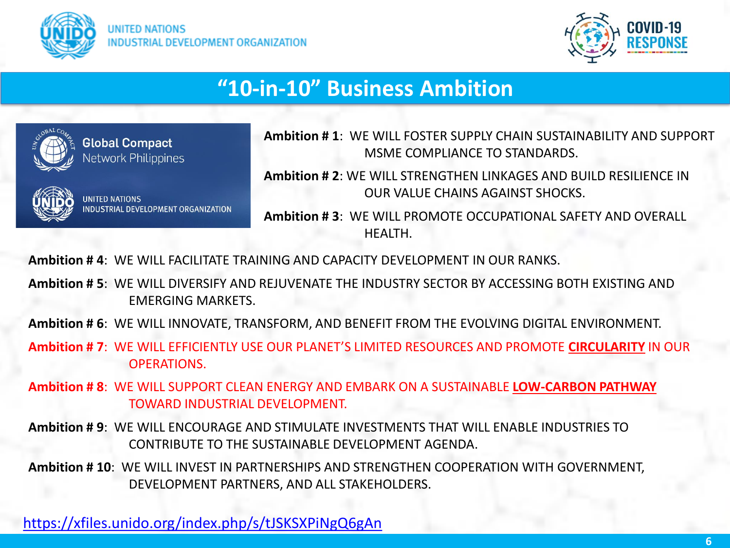



### **"10-in-10" Business Ambition**



**Global Compact Network Philippines** 



**JNITED NATIONS DEVELOPMENT ORGAL**  **Ambition # 1**: WE WILL FOSTER SUPPLY CHAIN SUSTAINABILITY AND SUPPORT MSME COMPLIANCE TO STANDARDS.

**Ambition # 2**: WE WILL STRENGTHEN LINKAGES AND BUILD RESILIENCE IN OUR VALUE CHAINS AGAINST SHOCKS.

**Ambition # 3**: WE WILL PROMOTE OCCUPATIONAL SAFETY AND OVERALL HEALTH.

**Ambition # 4**: WE WILL FACILITATE TRAINING AND CAPACITY DEVELOPMENT IN OUR RANKS.

**Ambition # 5**: WE WILL DIVERSIFY AND REJUVENATE THE INDUSTRY SECTOR BY ACCESSING BOTH EXISTING AND EMERGING MARKETS.

**Ambition # 6**: WE WILL INNOVATE, TRANSFORM, AND BENEFIT FROM THE EVOLVING DIGITAL ENVIRONMENT.

**Ambition # 7**: WE WILL EFFICIENTLY USE OUR PLANET'S LIMITED RESOURCES AND PROMOTE **CIRCULARITY** IN OUR OPERATIONS.

**Ambition # 8**: WE WILL SUPPORT CLEAN ENERGY AND EMBARK ON A SUSTAINABLE **LOW-CARBON PATHWAY** TOWARD INDUSTRIAL DEVELOPMENT.

**Ambition # 9**: WE WILL ENCOURAGE AND STIMULATE INVESTMENTS THAT WILL ENABLE INDUSTRIES TO CONTRIBUTE TO THE SUSTAINABLE DEVELOPMENT AGENDA.

**Ambition # 10**: WE WILL INVEST IN PARTNERSHIPS AND STRENGTHEN COOPERATION WITH GOVERNMENT, DEVELOPMENT PARTNERS, AND ALL STAKEHOLDERS.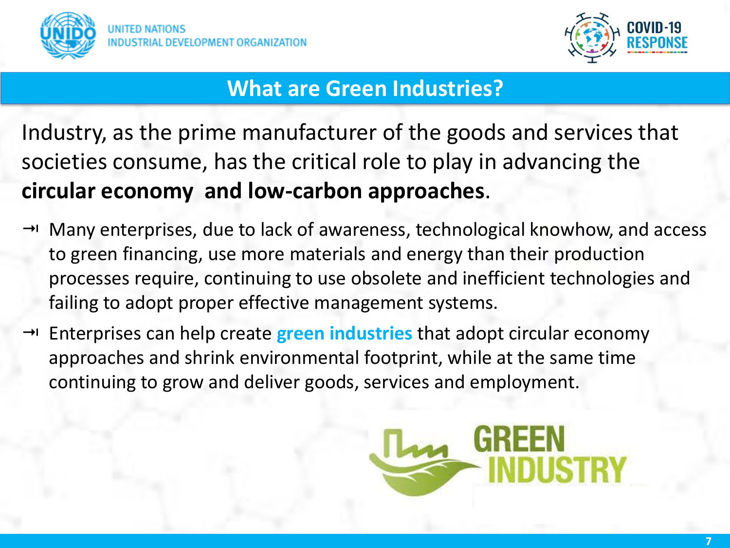



#### **What are Green Industries?**

Industry, as the prime manufacturer of the goods and services that societies consume, has the critical role to play in advancing the **circular economy and low-carbon approaches**.

- $\rightarrow$  Many enterprises, due to lack of awareness, technological knowhow, and access to green financing, use more materials and energy than their production processes require, continuing to use obsolete and inefficient technologies and failing to adopt proper effective management systems.
- → Enterprises can help create **green industries** that adopt circular economy approaches and shrink environmental footprint, while at the same time continuing to grow and deliver goods, services and employment.

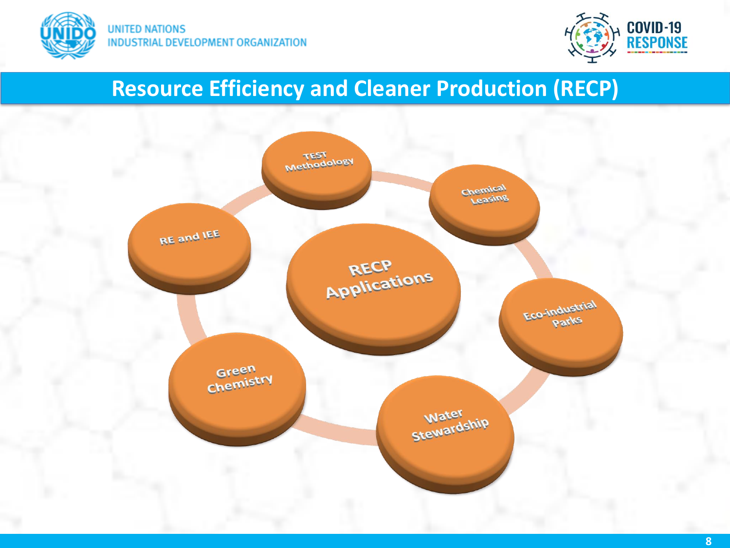



# **Resource Efficiency and Cleaner Production (RECP)**

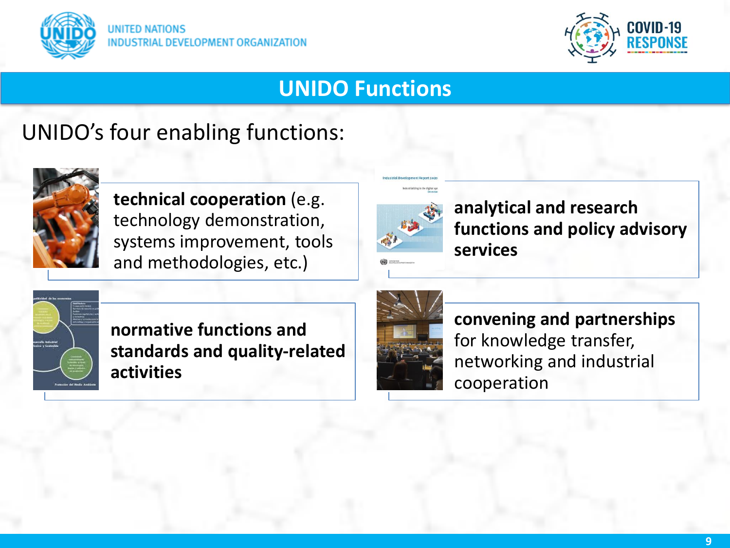



#### **UNIDO Functions**

## UNIDO's four enabling functions:



**technical cooperation** (e.g. technology demonstration, systems improvement, tools and methodologies, etc.)



**analytical and research functions and policy advisory services**



**normative functions and standards and quality-related activities**



**convening and partnerships**  for knowledge transfer, networking and industrial cooperation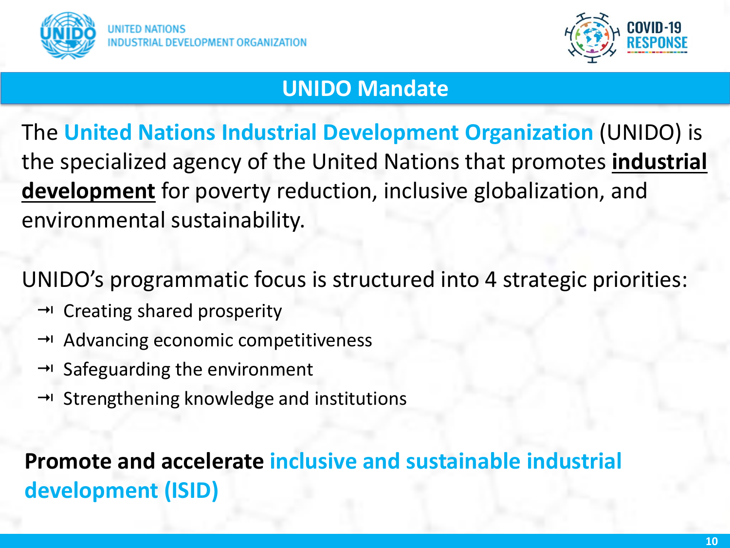



#### **UNIDO Mandate**

The **United Nations Industrial Development Organization** (UNIDO) is the specialized agency of the United Nations that promotes **industrial development** for poverty reduction, inclusive globalization, and environmental sustainability.

UNIDO's programmatic focus is structured into 4 strategic priorities:

- $\rightarrow$  Creating shared prosperity
- $\rightarrow$  Advancing economic competitiveness
- $\rightarrow$  Safeguarding the environment
- $\rightarrow$  Strengthening knowledge and institutions

**Promote and accelerate inclusive and sustainable industrial development (ISID)**